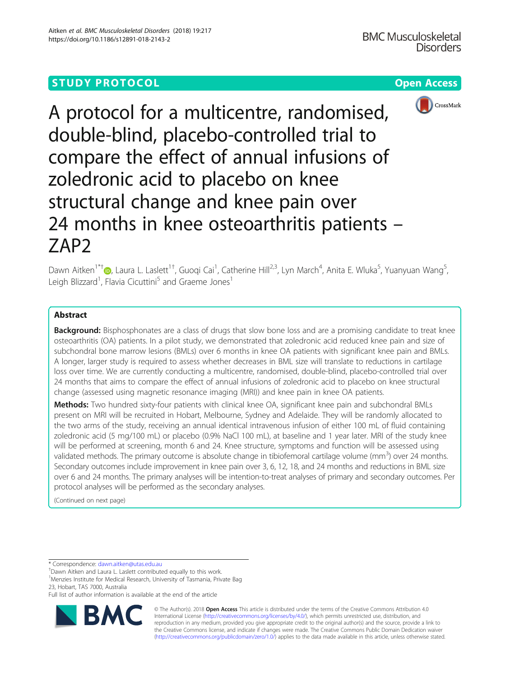# **STUDY PROTOCOL CONSUMING THE CONSUMING OPEN ACCESS**



A protocol for a multicentre, randomised, double-blind, placebo-controlled trial to compare the effect of annual infusions of zoledronic acid to placebo on knee structural change and knee pain over 24 months in knee osteoarthritis patients – ZAP2

Dawn Aitken<sup>1\*[†](http://orcid.org/0000-0001-5685-7634)</sup>�, Laura L. Laslett<sup>1†</sup>, Guoqi Cai<sup>1</sup>, Catherine Hill<sup>2,3</sup>, Lyn March<sup>4</sup>, Anita E. Wluka<sup>5</sup>, Yuanyuan Wang<sup>5</sup> , Leigh Blizzard<sup>1</sup>, Flavia Cicuttini<sup>5</sup> and Graeme Jones<sup>1</sup>

## Abstract

Background: Bisphosphonates are a class of drugs that slow bone loss and are a promising candidate to treat knee osteoarthritis (OA) patients. In a pilot study, we demonstrated that zoledronic acid reduced knee pain and size of subchondral bone marrow lesions (BMLs) over 6 months in knee OA patients with significant knee pain and BMLs. A longer, larger study is required to assess whether decreases in BML size will translate to reductions in cartilage loss over time. We are currently conducting a multicentre, randomised, double-blind, placebo-controlled trial over 24 months that aims to compare the effect of annual infusions of zoledronic acid to placebo on knee structural change (assessed using magnetic resonance imaging (MRI)) and knee pain in knee OA patients.

Methods: Two hundred sixty-four patients with clinical knee OA, significant knee pain and subchondral BMLs present on MRI will be recruited in Hobart, Melbourne, Sydney and Adelaide. They will be randomly allocated to the two arms of the study, receiving an annual identical intravenous infusion of either 100 mL of fluid containing zoledronic acid (5 mg/100 mL) or placebo (0.9% NaCl 100 mL), at baseline and 1 year later. MRI of the study knee will be performed at screening, month 6 and 24. Knee structure, symptoms and function will be assessed using validated methods. The primary outcome is absolute change in tibiofemoral cartilage volume (mm<sup>3</sup>) over 24 months. Secondary outcomes include improvement in knee pain over 3, 6, 12, 18, and 24 months and reductions in BML size over 6 and 24 months. The primary analyses will be intention-to-treat analyses of primary and secondary outcomes. Per protocol analyses will be performed as the secondary analyses.

(Continued on next page)

\* Correspondence: [dawn.aitken@utas.edu.au](mailto:dawn.aitken@utas.edu.au) †

Dawn Aitken and Laura L. Laslett contributed equally to this work.

<sup>1</sup>Menzies Institute for Medical Research, University of Tasmania, Private Bag 23, Hobart, TAS 7000, Australia

Full list of author information is available at the end of the article



© The Author(s). 2018 Open Access This article is distributed under the terms of the Creative Commons Attribution 4.0 International License [\(http://creativecommons.org/licenses/by/4.0/](http://creativecommons.org/licenses/by/4.0/)), which permits unrestricted use, distribution, and reproduction in any medium, provided you give appropriate credit to the original author(s) and the source, provide a link to the Creative Commons license, and indicate if changes were made. The Creative Commons Public Domain Dedication waiver [\(http://creativecommons.org/publicdomain/zero/1.0/](http://creativecommons.org/publicdomain/zero/1.0/)) applies to the data made available in this article, unless otherwise stated.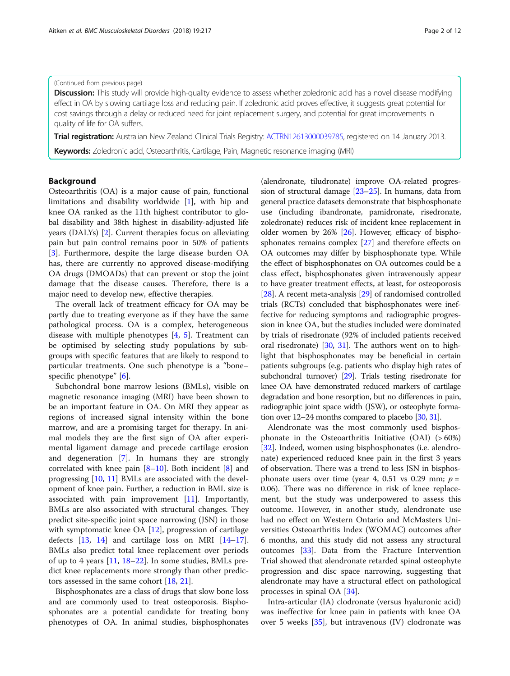## (Continued from previous page)

Discussion: This study will provide high-quality evidence to assess whether zoledronic acid has a novel disease modifying effect in OA by slowing cartilage loss and reducing pain. If zoledronic acid proves effective, it suggests great potential for cost savings through a delay or reduced need for joint replacement surgery, and potential for great improvements in quality of life for OA suffers.

**Trial registration:** Australian New Zealand Clinical Trials Registry: [ACTRN12613000039785,](http://www.anzctr.org.au/TrialSearch.aspx?searchTxt=zoledronic+acid+and+osteoarthritis&isBasic=True) registered on 14 January 2013.

Keywords: Zoledronic acid, Osteoarthritis, Cartilage, Pain, Magnetic resonance imaging (MRI)

## Background

Osteoarthritis (OA) is a major cause of pain, functional limitations and disability worldwide [\[1](#page-9-0)], with hip and knee OA ranked as the 11th highest contributor to global disability and 38th highest in disability-adjusted life years (DALYs) [[2](#page-9-0)]. Current therapies focus on alleviating pain but pain control remains poor in 50% of patients [[3\]](#page-9-0). Furthermore, despite the large disease burden OA has, there are currently no approved disease-modifying OA drugs (DMOADs) that can prevent or stop the joint damage that the disease causes. Therefore, there is a major need to develop new, effective therapies.

The overall lack of treatment efficacy for OA may be partly due to treating everyone as if they have the same pathological process. OA is a complex, heterogeneous disease with multiple phenotypes  $[4, 5]$  $[4, 5]$  $[4, 5]$  $[4, 5]$ . Treatment can be optimised by selecting study populations by subgroups with specific features that are likely to respond to particular treatments. One such phenotype is a "bone– specific phenotype" [\[6](#page-9-0)].

Subchondral bone marrow lesions (BMLs), visible on magnetic resonance imaging (MRI) have been shown to be an important feature in OA. On MRI they appear as regions of increased signal intensity within the bone marrow, and are a promising target for therapy. In animal models they are the first sign of OA after experimental ligament damage and precede cartilage erosion and degeneration [[7\]](#page-9-0). In humans they are strongly correlated with knee pain  $[8-10]$  $[8-10]$  $[8-10]$  $[8-10]$  $[8-10]$ . Both incident  $[8]$  $[8]$  and progressing [\[10,](#page-9-0) [11\]](#page-10-0) BMLs are associated with the development of knee pain. Further, a reduction in BML size is associated with pain improvement [\[11\]](#page-10-0). Importantly, BMLs are also associated with structural changes. They predict site-specific joint space narrowing (JSN) in those with symptomatic knee OA [\[12](#page-10-0)], progression of cartilage defects  $[13, 14]$  $[13, 14]$  $[13, 14]$  $[13, 14]$  and cartilage loss on MRI  $[14-17]$  $[14-17]$  $[14-17]$  $[14-17]$  $[14-17]$ . BMLs also predict total knee replacement over periods of up to 4 years [\[11](#page-10-0), [18](#page-10-0)–[22](#page-10-0)]. In some studies, BMLs predict knee replacements more strongly than other predictors assessed in the same cohort [\[18](#page-10-0), [21](#page-10-0)].

Bisphosphonates are a class of drugs that slow bone loss and are commonly used to treat osteoporosis. Bisphosphonates are a potential candidate for treating bony phenotypes of OA. In animal studies, bisphosphonates (alendronate, tiludronate) improve OA-related progression of structural damage [\[23](#page-10-0)–[25\]](#page-10-0). In humans, data from general practice datasets demonstrate that bisphosphonate use (including ibandronate, pamidronate, risedronate, zoledronate) reduces risk of incident knee replacement in older women by 26% [\[26\]](#page-10-0). However, efficacy of bisphosphonates remains complex [\[27](#page-10-0)] and therefore effects on OA outcomes may differ by bisphosphonate type. While the effect of bisphosphonates on OA outcomes could be a class effect, bisphosphonates given intravenously appear to have greater treatment effects, at least, for osteoporosis [[28](#page-10-0)]. A recent meta-analysis [\[29\]](#page-10-0) of randomised controlled trials (RCTs) concluded that bisphosphonates were ineffective for reducing symptoms and radiographic progression in knee OA, but the studies included were dominated by trials of risedronate (92% of included patients received oral risedronate) [\[30,](#page-10-0) [31](#page-10-0)]. The authors went on to highlight that bisphosphonates may be beneficial in certain patients subgroups (e.g. patients who display high rates of subchondral turnover) [\[29](#page-10-0)]. Trials testing risedronate for knee OA have demonstrated reduced markers of cartilage degradation and bone resorption, but no differences in pain, radiographic joint space width (JSW), or osteophyte formation over 12–24 months compared to placebo [[30](#page-10-0), [31\]](#page-10-0).

Alendronate was the most commonly used bisphosphonate in the Osteoarthritis Initiative (OAI) (> 60%) [[32\]](#page-10-0). Indeed, women using bisphosphonates (i.e. alendronate) experienced reduced knee pain in the first 3 years of observation. There was a trend to less JSN in bisphosphonate users over time (year 4, 0.51 vs 0.29 mm;  $p =$ 0.06). There was no difference in risk of knee replacement, but the study was underpowered to assess this outcome. However, in another study, alendronate use had no effect on Western Ontario and McMasters Universities Osteoarthritis Index (WOMAC) outcomes after 6 months, and this study did not assess any structural outcomes [[33\]](#page-10-0). Data from the Fracture Intervention Trial showed that alendronate retarded spinal osteophyte progression and disc space narrowing, suggesting that alendronate may have a structural effect on pathological processes in spinal OA [[34\]](#page-10-0).

Intra-articular (IA) clodronate (versus hyaluronic acid) was ineffective for knee pain in patients with knee OA over 5 weeks [[35\]](#page-10-0), but intravenous (IV) clodronate was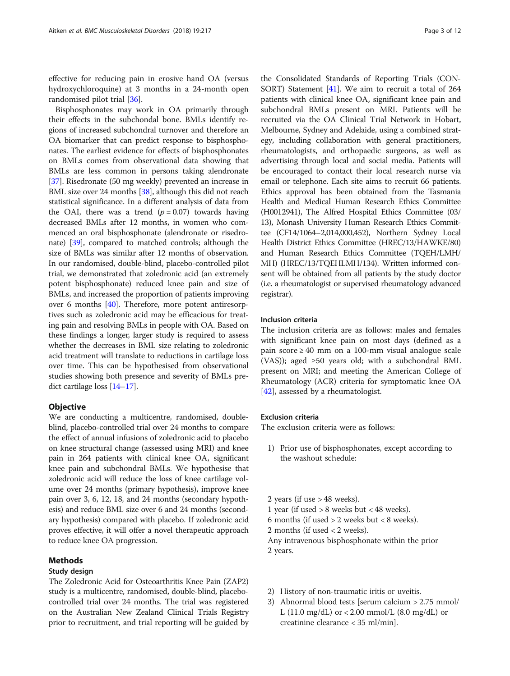effective for reducing pain in erosive hand OA (versus hydroxychloroquine) at 3 months in a 24-month open randomised pilot trial [[36](#page-10-0)].

Bisphosphonates may work in OA primarily through their effects in the subchondal bone. BMLs identify regions of increased subchondral turnover and therefore an OA biomarker that can predict response to bisphosphonates. The earliest evidence for effects of bisphosphonates on BMLs comes from observational data showing that BMLs are less common in persons taking alendronate [[37](#page-10-0)]. Risedronate (50 mg weekly) prevented an increase in BML size over 24 months [\[38\]](#page-10-0), although this did not reach statistical significance. In a different analysis of data from the OAI, there was a trend  $(p = 0.07)$  towards having decreased BMLs after 12 months, in women who commenced an oral bisphosphonate (alendronate or risedronate) [\[39\]](#page-10-0), compared to matched controls; although the size of BMLs was similar after 12 months of observation. In our randomised, double-blind, placebo-controlled pilot trial, we demonstrated that zoledronic acid (an extremely potent bisphosphonate) reduced knee pain and size of BMLs, and increased the proportion of patients improving over 6 months [[40](#page-10-0)]. Therefore, more potent antiresorptives such as zoledronic acid may be efficacious for treating pain and resolving BMLs in people with OA. Based on these findings a longer, larger study is required to assess whether the decreases in BML size relating to zoledronic acid treatment will translate to reductions in cartilage loss over time. This can be hypothesised from observational studies showing both presence and severity of BMLs predict cartilage loss [\[14](#page-10-0)–[17](#page-10-0)].

## **Objective**

We are conducting a multicentre, randomised, doubleblind, placebo-controlled trial over 24 months to compare the effect of annual infusions of zoledronic acid to placebo on knee structural change (assessed using MRI) and knee pain in 264 patients with clinical knee OA, significant knee pain and subchondral BMLs. We hypothesise that zoledronic acid will reduce the loss of knee cartilage volume over 24 months (primary hypothesis), improve knee pain over 3, 6, 12, 18, and 24 months (secondary hypothesis) and reduce BML size over 6 and 24 months (secondary hypothesis) compared with placebo. If zoledronic acid proves effective, it will offer a novel therapeutic approach to reduce knee OA progression.

## Methods

#### Study design

The Zoledronic Acid for Osteoarthritis Knee Pain (ZAP2) study is a multicentre, randomised, double-blind, placebocontrolled trial over 24 months. The trial was registered on the Australian New Zealand Clinical Trials Registry prior to recruitment, and trial reporting will be guided by

the Consolidated Standards of Reporting Trials (CON-SORT) Statement [\[41\]](#page-10-0). We aim to recruit a total of 264 patients with clinical knee OA, significant knee pain and subchondral BMLs present on MRI. Patients will be recruited via the OA Clinical Trial Network in Hobart, Melbourne, Sydney and Adelaide, using a combined strategy, including collaboration with general practitioners, rheumatologists, and orthopaedic surgeons, as well as advertising through local and social media. Patients will be encouraged to contact their local research nurse via email or telephone. Each site aims to recruit 66 patients. Ethics approval has been obtained from the Tasmania Health and Medical Human Research Ethics Committee (H0012941), The Alfred Hospital Ethics Committee (03/ 13), Monash University Human Research Ethics Committee (CF14/1064–2,014,000,452), Northern Sydney Local Health District Ethics Committee (HREC/13/HAWKE/80) and Human Research Ethics Committee (TQEH/LMH/ MH) (HREC/13/TQEHLMH/134). Written informed consent will be obtained from all patients by the study doctor (i.e. a rheumatologist or supervised rheumatology advanced registrar).

#### Inclusion criteria

The inclusion criteria are as follows: males and females with significant knee pain on most days (defined as a pain score ≥ 40 mm on a 100-mm visual analogue scale (VAS)); aged ≥50 years old; with a subchondral BML present on MRI; and meeting the American College of Rheumatology (ACR) criteria for symptomatic knee OA [[42\]](#page-10-0), assessed by a rheumatologist.

#### Exclusion criteria

The exclusion criteria were as follows:

- 1) Prior use of bisphosphonates, except according to the washout schedule:
- 2 years (if use > 48 weeks).
- 1 year (if used > 8 weeks but < 48 weeks).
- 6 months (if used  $> 2$  weeks but  $< 8$  weeks).
- 2 months (if used < 2 weeks).

Any intravenous bisphosphonate within the prior 2 years.

- 2) History of non-traumatic iritis or uveitis.
- 3) Abnormal blood tests [serum calcium > 2.75 mmol/ L (11.0 mg/dL) or < 2.00 mmol/L (8.0 mg/dL) or creatinine clearance < 35 ml/min].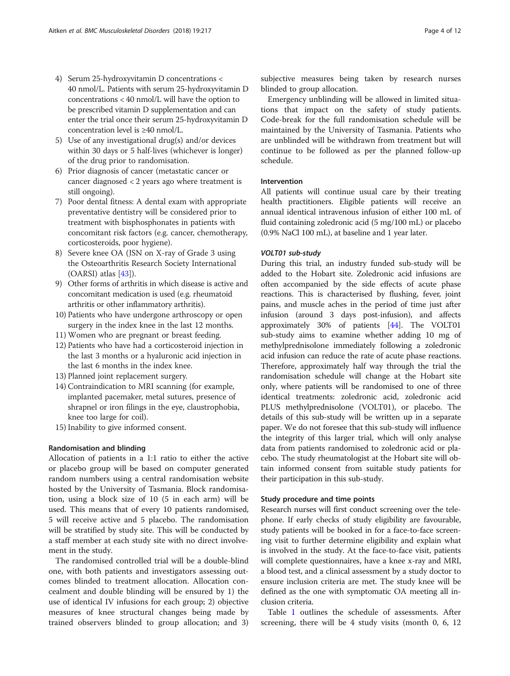- 4) Serum 25-hydroxyvitamin D concentrations < 40 nmol/L. Patients with serum 25-hydroxyvitamin D concentrations < 40 nmol/L will have the option to be prescribed vitamin D supplementation and can enter the trial once their serum 25-hydroxyvitamin D concentration level is ≥40 nmol/L.
- 5) Use of any investigational drug(s) and/or devices within 30 days or 5 half-lives (whichever is longer) of the drug prior to randomisation.
- 6) Prior diagnosis of cancer (metastatic cancer or cancer diagnosed < 2 years ago where treatment is still ongoing).
- 7) Poor dental fitness: A dental exam with appropriate preventative dentistry will be considered prior to treatment with bisphosphonates in patients with concomitant risk factors (e.g. cancer, chemotherapy, corticosteroids, poor hygiene).
- 8) Severe knee OA (JSN on X-ray of Grade 3 using the Osteoarthritis Research Society International  $(OARSI)$  atlas  $[43]$  $[43]$ ).
- 9) Other forms of arthritis in which disease is active and concomitant medication is used (e.g. rheumatoid arthritis or other inflammatory arthritis).
- 10) Patients who have undergone arthroscopy or open surgery in the index knee in the last 12 months.
- 11) Women who are pregnant or breast feeding.
- 12) Patients who have had a corticosteroid injection in the last 3 months or a hyaluronic acid injection in the last 6 months in the index knee.
- 13) Planned joint replacement surgery.
- 14) Contraindication to MRI scanning (for example, implanted pacemaker, metal sutures, presence of shrapnel or iron filings in the eye, claustrophobia, knee too large for coil).
- 15) Inability to give informed consent.

## Randomisation and blinding

Allocation of patients in a 1:1 ratio to either the active or placebo group will be based on computer generated random numbers using a central randomisation website hosted by the University of Tasmania. Block randomisation, using a block size of 10 (5 in each arm) will be used. This means that of every 10 patients randomised, 5 will receive active and 5 placebo. The randomisation will be stratified by study site. This will be conducted by a staff member at each study site with no direct involvement in the study.

The randomised controlled trial will be a double-blind one, with both patients and investigators assessing outcomes blinded to treatment allocation. Allocation concealment and double blinding will be ensured by 1) the use of identical IV infusions for each group; 2) objective measures of knee structural changes being made by trained observers blinded to group allocation; and 3) subjective measures being taken by research nurses blinded to group allocation.

Emergency unblinding will be allowed in limited situations that impact on the safety of study patients. Code-break for the full randomisation schedule will be maintained by the University of Tasmania. Patients who are unblinded will be withdrawn from treatment but will continue to be followed as per the planned follow-up schedule.

## Intervention

All patients will continue usual care by their treating health practitioners. Eligible patients will receive an annual identical intravenous infusion of either 100 mL of fluid containing zoledronic acid (5 mg/100 mL) or placebo (0.9% NaCl 100 mL), at baseline and 1 year later.

#### VOLT01 sub-study

During this trial, an industry funded sub-study will be added to the Hobart site. Zoledronic acid infusions are often accompanied by the side effects of acute phase reactions. This is characterised by flushing, fever, joint pains, and muscle aches in the period of time just after infusion (around 3 days post-infusion), and affects approximately 30% of patients [[44](#page-10-0)]. The VOLT01 sub-study aims to examine whether adding 10 mg of methylprednisolone immediately following a zoledronic acid infusion can reduce the rate of acute phase reactions. Therefore, approximately half way through the trial the randomisation schedule will change at the Hobart site only, where patients will be randomised to one of three identical treatments: zoledronic acid, zoledronic acid PLUS methylprednisolone (VOLT01), or placebo. The details of this sub-study will be written up in a separate paper. We do not foresee that this sub-study will influence the integrity of this larger trial, which will only analyse data from patients randomised to zoledronic acid or placebo. The study rheumatologist at the Hobart site will obtain informed consent from suitable study patients for their participation in this sub-study.

#### Study procedure and time points

Research nurses will first conduct screening over the telephone. If early checks of study eligibility are favourable, study patients will be booked in for a face-to-face screening visit to further determine eligibility and explain what is involved in the study. At the face-to-face visit, patients will complete questionnaires, have a knee x-ray and MRI, a blood test, and a clinical assessment by a study doctor to ensure inclusion criteria are met. The study knee will be defined as the one with symptomatic OA meeting all inclusion criteria.

Table [1](#page-4-0) outlines the schedule of assessments. After screening, there will be 4 study visits (month 0, 6, 12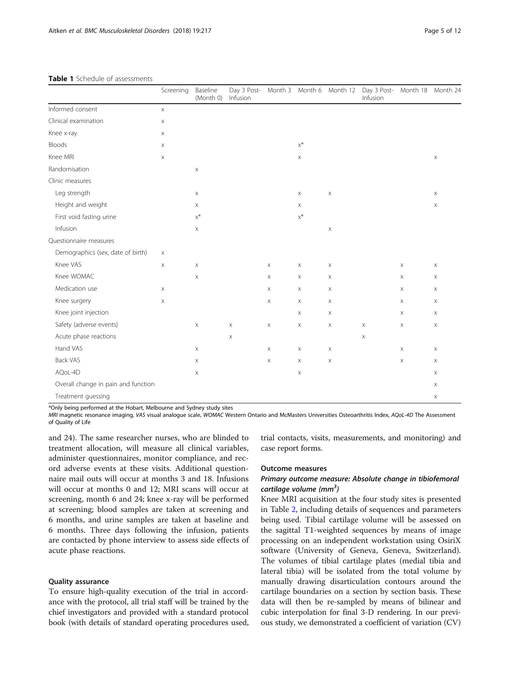|                                     | Screening   | Baseline<br>(Month 0)     | Day 3 Post-<br>Infusion |             |                            |                           | Month 3 Month 6 Month 12 Day 3 Post-<br>Infusion | Month 18 Month 24 |                           |
|-------------------------------------|-------------|---------------------------|-------------------------|-------------|----------------------------|---------------------------|--------------------------------------------------|-------------------|---------------------------|
| Informed consent                    | $\mathsf X$ |                           |                         |             |                            |                           |                                                  |                   |                           |
| Clinical examination                | $\mathsf X$ |                           |                         |             |                            |                           |                                                  |                   |                           |
| Knee x-ray                          | $\mathsf X$ |                           |                         |             |                            |                           |                                                  |                   |                           |
| Bloods                              | $\mathsf X$ |                           |                         |             | $\mathsf{X}^{\mathsf{\#}}$ |                           |                                                  |                   |                           |
| Knee MRI                            | $\mathsf X$ |                           |                         |             | X                          |                           |                                                  |                   | $\boldsymbol{\mathsf{X}}$ |
| Randomisation                       |             | X                         |                         |             |                            |                           |                                                  |                   |                           |
| Clinic measures                     |             |                           |                         |             |                            |                           |                                                  |                   |                           |
| Leg strength                        |             | X                         |                         |             | $\boldsymbol{\mathsf{X}}$  | $\boldsymbol{\mathsf{X}}$ |                                                  |                   | $\boldsymbol{\mathsf{X}}$ |
| Height and weight                   |             | X                         |                         |             | $\mathsf X$                |                           |                                                  |                   | $\boldsymbol{\mathsf{X}}$ |
| First void fasting urine            |             | $\mathsf{X}^*$            |                         |             | $\mathsf{X}^{\mathsf{\#}}$ |                           |                                                  |                   |                           |
| Infusion                            |             | $\boldsymbol{\mathsf{X}}$ |                         |             |                            | $\boldsymbol{\mathsf{X}}$ |                                                  |                   |                           |
| Questionnaire measures              |             |                           |                         |             |                            |                           |                                                  |                   |                           |
| Demographics (sex, date of birth)   | $\mathsf X$ |                           |                         |             |                            |                           |                                                  |                   |                           |
| Knee VAS                            | $\mathsf X$ | $\boldsymbol{\mathsf{X}}$ |                         | $\mathsf X$ | $\boldsymbol{\mathsf{X}}$  | $\mathsf X$               |                                                  | $\mathsf X$       | X                         |
| Knee WOMAC                          |             | $\mathsf X$               |                         | X           | X                          | X                         |                                                  | X                 | X                         |
| Medication use                      | $\mathsf X$ |                           |                         | $\mathsf X$ | $\mathsf X$                | $\mathsf X$               |                                                  | $\mathsf X$       | X                         |
| Knee surgery                        | $\mathsf X$ |                           |                         | $\mathsf X$ | $\mathsf X$                | X                         |                                                  | X                 | X                         |
| Knee joint injection                |             |                           |                         |             | X                          | X                         |                                                  | X                 | $\boldsymbol{\mathsf{X}}$ |
| Safety (adverse events)             |             | $\boldsymbol{\mathsf{X}}$ | $\mathsf X$             | $\mathsf X$ | $\mathsf X$                | $\boldsymbol{\mathsf{X}}$ | $\mathsf X$                                      | $\mathsf X$       | $\boldsymbol{\mathsf{X}}$ |
| Acute phase reactions               |             |                           | $\mathsf X$             |             |                            |                           | $\boldsymbol{\times}$                            |                   |                           |
| Hand VAS                            |             | X                         |                         | X           | $\boldsymbol{\mathsf{X}}$  | $\mathsf X$               |                                                  | $\mathsf X$       | X                         |
| <b>Back VAS</b>                     |             | $\mathsf X$               |                         | $\mathsf X$ | $\mathsf X$                | $\boldsymbol{\mathsf{X}}$ |                                                  | X                 | X                         |
| AQoL-4D                             |             | $\boldsymbol{\mathsf{X}}$ |                         |             | $\boldsymbol{\mathsf{X}}$  |                           |                                                  |                   | X                         |
| Overall change in pain and function |             |                           |                         |             |                            |                           |                                                  |                   | $\boldsymbol{\mathsf{X}}$ |
| Treatment guessing                  |             |                           |                         |             |                            |                           |                                                  |                   | X                         |

#### <span id="page-4-0"></span>Table 1 Schedule of assessments

\*Only being performed at the Hobart, Melbourne and Sydney study sites

MRI magnetic resonance imaging, VAS visual analogue scale, WOMAC Western Ontario and McMasters Universities Osteoarthritis Index, AQoL-4D The Assessment of Quality of Life

and 24). The same researcher nurses, who are blinded to treatment allocation, will measure all clinical variables, administer questionnaires, monitor compliance, and record adverse events at these visits. Additional questionnaire mail outs will occur at months 3 and 18. Infusions will occur at months 0 and 12; MRI scans will occur at screening, month 6 and 24; knee x-ray will be performed at screening; blood samples are taken at screening and 6 months, and urine samples are taken at baseline and 6 months. Three days following the infusion, patients are contacted by phone interview to assess side effects of acute phase reactions.

## Quality assurance

To ensure high-quality execution of the trial in accordance with the protocol, all trial staff will be trained by the chief investigators and provided with a standard protocol book (with details of standard operating procedures used,

trial contacts, visits, measurements, and monitoring) and case report forms.

#### Outcome measures

## Primary outcome measure: Absolute change in tibiofemoral cartilage volume (mm<sup>3</sup>)

Knee MRI acquisition at the four study sites is presented in Table [2](#page-5-0), including details of sequences and parameters being used. Tibial cartilage volume will be assessed on the sagittal T1-weighted sequences by means of image processing on an independent workstation using OsiriX software (University of Geneva, Geneva, Switzerland). The volumes of tibial cartilage plates (medial tibia and lateral tibia) will be isolated from the total volume by manually drawing disarticulation contours around the cartilage boundaries on a section by section basis. These data will then be re-sampled by means of bilinear and cubic interpolation for final 3-D rendering. In our previous study, we demonstrated a coefficient of variation (CV)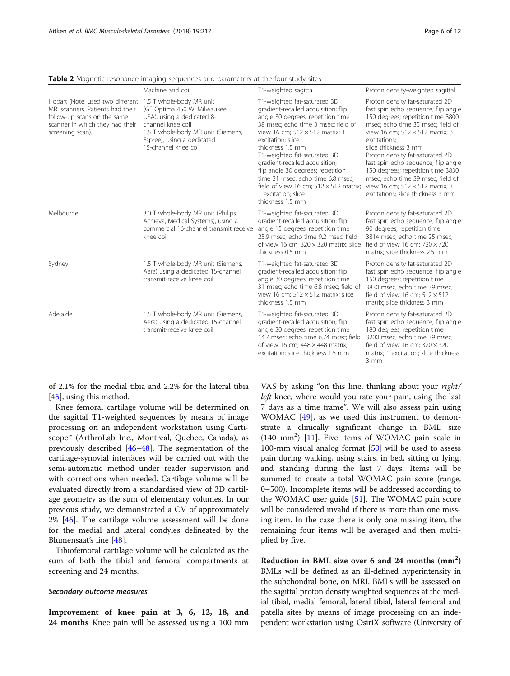|                                                                                                                                                            | Machine and coil                                                                                                                                                                                        | T1-weighted sagittal                                                                                                                                                                                                                                                                                                                                                                                                                                                       | Proton density-weighted sagittal                                                                                                                                                                                                                                                                                                                                                                                                                               |
|------------------------------------------------------------------------------------------------------------------------------------------------------------|---------------------------------------------------------------------------------------------------------------------------------------------------------------------------------------------------------|----------------------------------------------------------------------------------------------------------------------------------------------------------------------------------------------------------------------------------------------------------------------------------------------------------------------------------------------------------------------------------------------------------------------------------------------------------------------------|----------------------------------------------------------------------------------------------------------------------------------------------------------------------------------------------------------------------------------------------------------------------------------------------------------------------------------------------------------------------------------------------------------------------------------------------------------------|
| Hobart (Note: used two different<br>MRI scanners. Patients had their<br>follow-up scans on the same<br>scanner in which they had their<br>screening scan). | 1.5 T whole-body MR unit<br>(GE Optima 450 W, Milwaukee,<br>USA), using a dedicated 8-<br>channel knee coil<br>1.5 T whole-body MR unit (Siemens,<br>Espree), using a dedicated<br>15-channel knee coil | T1-weighted fat-saturated 3D<br>gradient-recalled acquisition; flip<br>angle 30 degrees; repetition time<br>38 msec; echo time 3 msec; field of<br>view 16 cm; $512 \times 512$ matrix; 1<br>excitation: slice<br>thickness 1.5 mm<br>T1-weighted fat-saturated 3D<br>gradient-recalled acquisition;<br>flip angle 30 degrees; repetition<br>time 31 msec; echo time 6.8 msec;<br>field of view 16 cm; $512 \times 512$ matrix;<br>1 excitation; slice<br>thickness 1.5 mm | Proton density fat-saturated 2D<br>fast spin echo sequence; flip angle<br>150 degrees; repetition time 3800<br>msec; echo time 35 msec; field of<br>view 16 cm; $512 \times 512$ matrix; 3<br>excitations:<br>slice thickness 3 mm<br>Proton density fat-saturated 2D<br>fast spin echo sequence; flip angle<br>150 degrees; repetition time 3830<br>msec; echo time 39 msec; field of<br>view 16 cm; 512 × 512 matrix; 3<br>excitations; slice thickness 3 mm |
| Melbourne                                                                                                                                                  | 3.0 T whole-body MR unit (Philips,<br>Achieva, Medical Systems), using a<br>commercial 16-channel transmit receive<br>knee coil                                                                         | T1-weighted fat-saturated 3D<br>gradient-recalled acquisition; flip<br>angle 15 degrees; repetition time<br>25.9 msec; echo time 9.2 msec; field<br>of view 16 cm; $320 \times 320$ matrix; slice<br>thickness 0.5 mm                                                                                                                                                                                                                                                      | Proton density fat-saturated 2D<br>fast spin echo sequence; flip angle<br>90 degrees; repetition time<br>3814 msec; echo time 25 msec;<br>field of view 16 cm; $720 \times 720$<br>matrix; slice thickness 2.5 mm                                                                                                                                                                                                                                              |
| Sydney                                                                                                                                                     | 1.5 T whole-body MR unit (Siemens,<br>Aera) using a dedicated 15-channel<br>transmit-receive knee coil                                                                                                  | T1-weighted fat-saturated 3D<br>gradient-recalled acquisition; flip<br>angle 30 degrees, repetition time<br>31 msec; echo time 6.8 msec; field of<br>view 16 cm; $512 \times 512$ matrix; slice<br>thickness 1.5 mm                                                                                                                                                                                                                                                        | Proton density fat-saturated 2D<br>fast spin echo sequence; flip angle<br>150 degrees; repetition time<br>3830 msec; echo time 39 msec;<br>field of view 16 cm; $512 \times 512$<br>matrix; slice thickness 3 mm                                                                                                                                                                                                                                               |
| Adelaide                                                                                                                                                   | 1.5 T whole-body MR unit (Siemens,<br>Aera) using a dedicated 15-channel<br>transmit-receive knee coil                                                                                                  | T1-weighted fat-saturated 3D<br>gradient-recalled acquisition; flip<br>angle 30 degrees, repetition time<br>14.7 msec; echo time 6.74 msec; field<br>of view 16 cm; $448 \times 448$ matrix; 1<br>excitation; slice thickness 1.5 mm                                                                                                                                                                                                                                       | Proton density fat-saturated 2D<br>fast spin echo sequence; flip angle<br>180 degrees; repetition time<br>3200 msec; echo time 39 msec;<br>field of view 16 cm; $320 \times 320$<br>matrix; 1 excitation; slice thickness<br>$3 \, \text{mm}$                                                                                                                                                                                                                  |

<span id="page-5-0"></span>Table 2 Magnetic resonance imaging sequences and parameters at the four study sites

of 2.1% for the medial tibia and 2.2% for the lateral tibia [[45](#page-10-0)], using this method.

Knee femoral cartilage volume will be determined on the sagittal T1-weighted sequences by means of image processing on an independent workstation using Cartiscope™ (ArthroLab Inc., Montreal, Quebec, Canada), as previously described [\[46](#page-10-0)–[48](#page-10-0)]. The segmentation of the cartilage-synovial interfaces will be carried out with the semi-automatic method under reader supervision and with corrections when needed. Cartilage volume will be evaluated directly from a standardised view of 3D cartilage geometry as the sum of elementary volumes. In our previous study, we demonstrated a CV of approximately 2% [[46\]](#page-10-0). The cartilage volume assessment will be done for the medial and lateral condyles delineated by the Blumensaat's line [\[48](#page-10-0)].

Tibiofemoral cartilage volume will be calculated as the sum of both the tibial and femoral compartments at screening and 24 months.

#### Secondary outcome measures

Improvement of knee pain at 3, 6, 12, 18, and 24 months Knee pain will be assessed using a 100 mm VAS by asking "on this line, thinking about your right/ left knee, where would you rate your pain, using the last 7 days as a time frame". We will also assess pain using WOMAC [[49\]](#page-10-0), as we used this instrument to demonstrate a clinically significant change in BML size (140 mm<sup>2</sup>) [\[11](#page-10-0)]. Five items of WOMAC pain scale in 100-mm visual analog format [\[50](#page-11-0)] will be used to assess pain during walking, using stairs, in bed, sitting or lying, and standing during the last 7 days. Items will be summed to create a total WOMAC pain score (range, 0–500). Incomplete items will be addressed according to the WOMAC user guide [\[51](#page-11-0)]. The WOMAC pain score will be considered invalid if there is more than one missing item. In the case there is only one missing item, the remaining four items will be averaged and then multiplied by five.

Reduction in BML size over 6 and 24 months  $(nm<sup>2</sup>)$ BMLs will be defined as an ill-defined hyperintensity in the subchondral bone, on MRI. BMLs will be assessed on the sagittal proton density weighted sequences at the medial tibial, medial femoral, lateral tibial, lateral femoral and patella sites by means of image processing on an independent workstation using OsiriX software (University of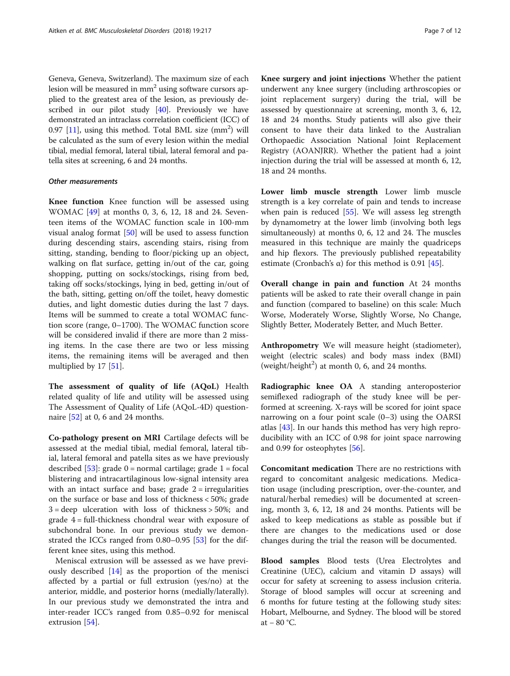Geneva, Geneva, Switzerland). The maximum size of each lesion will be measured in  $mm<sup>2</sup>$  using software cursors applied to the greatest area of the lesion, as previously de-scribed in our pilot study [\[40](#page-10-0)]. Previously we have demonstrated an intraclass correlation coefficient (ICC) of 0.97 [\[11\]](#page-10-0), using this method. Total BML size  $(nm<sup>2</sup>)$  will be calculated as the sum of every lesion within the medial tibial, medial femoral, lateral tibial, lateral femoral and patella sites at screening, 6 and 24 months.

#### Other measurements

Knee function Knee function will be assessed using WOMAC [\[49\]](#page-10-0) at months 0, 3, 6, 12, 18 and 24. Seventeen items of the WOMAC function scale in 100-mm visual analog format [\[50](#page-11-0)] will be used to assess function during descending stairs, ascending stairs, rising from sitting, standing, bending to floor/picking up an object, walking on flat surface, getting in/out of the car, going shopping, putting on socks/stockings, rising from bed, taking off socks/stockings, lying in bed, getting in/out of the bath, sitting, getting on/off the toilet, heavy domestic duties, and light domestic duties during the last 7 days. Items will be summed to create a total WOMAC function score (range, 0–1700). The WOMAC function score will be considered invalid if there are more than 2 missing items. In the case there are two or less missing items, the remaining items will be averaged and then multiplied by 17 [[51\]](#page-11-0).

The assessment of quality of life (AQoL) Health related quality of life and utility will be assessed using The Assessment of Quality of Life (AQoL-4D) questionnaire [\[52](#page-11-0)] at 0, 6 and 24 months.

Co-pathology present on MRI Cartilage defects will be assessed at the medial tibial, medial femoral, lateral tibial, lateral femoral and patella sites as we have previously described  $[53]$  $[53]$  $[53]$ : grade 0 = normal cartilage; grade 1 = focal blistering and intracartilaginous low-signal intensity area with an intact surface and base; grade  $2$  = irregularities on the surface or base and loss of thickness < 50%; grade  $3 =$  deep ulceration with loss of thickness  $> 50\%$ ; and grade 4 = full-thickness chondral wear with exposure of subchondral bone. In our previous study we demonstrated the ICCs ranged from 0.80–0.95 [[53](#page-11-0)] for the different knee sites, using this method.

Meniscal extrusion will be assessed as we have previously described [[14\]](#page-10-0) as the proportion of the menisci affected by a partial or full extrusion (yes/no) at the anterior, middle, and posterior horns (medially/laterally). In our previous study we demonstrated the intra and inter-reader ICC's ranged from 0.85–0.92 for meniscal extrusion [\[54\]](#page-11-0).

Knee surgery and joint injections Whether the patient underwent any knee surgery (including arthroscopies or joint replacement surgery) during the trial, will be assessed by questionnaire at screening, month 3, 6, 12, 18 and 24 months. Study patients will also give their consent to have their data linked to the Australian Orthopaedic Association National Joint Replacement Registry (AOANJRR). Whether the patient had a joint injection during the trial will be assessed at month 6, 12, 18 and 24 months.

Lower limb muscle strength Lower limb muscle strength is a key correlate of pain and tends to increase when pain is reduced [[55\]](#page-11-0). We will assess leg strength by dynamometry at the lower limb (involving both legs simultaneously) at months 0, 6, 12 and 24. The muscles measured in this technique are mainly the quadriceps and hip flexors. The previously published repeatability estimate (Cronbach's  $\alpha$ ) for this method is 0.91 [\[45](#page-10-0)].

Overall change in pain and function At 24 months patients will be asked to rate their overall change in pain and function (compared to baseline) on this scale: Much Worse, Moderately Worse, Slightly Worse, No Change, Slightly Better, Moderately Better, and Much Better.

Anthropometry We will measure height (stadiometer), weight (electric scales) and body mass index (BMI) (weight/height<sup>2</sup>) at month 0, 6, and 24 months.

Radiographic knee OA A standing anteroposterior semiflexed radiograph of the study knee will be performed at screening. X-rays will be scored for joint space narrowing on a four point scale (0–3) using the OARSI atlas [\[43](#page-10-0)]. In our hands this method has very high reproducibility with an ICC of 0.98 for joint space narrowing and 0.99 for osteophytes [\[56\]](#page-11-0).

Concomitant medication There are no restrictions with regard to concomitant analgesic medications. Medication usage (including prescription, over-the-counter, and natural/herbal remedies) will be documented at screening, month 3, 6, 12, 18 and 24 months. Patients will be asked to keep medications as stable as possible but if there are changes to the medications used or dose changes during the trial the reason will be documented.

Blood samples Blood tests (Urea Electrolytes and Creatinine (UEC), calcium and vitamin D assays) will occur for safety at screening to assess inclusion criteria. Storage of blood samples will occur at screening and 6 months for future testing at the following study sites: Hobart, Melbourne, and Sydney. The blood will be stored at − 80 °C.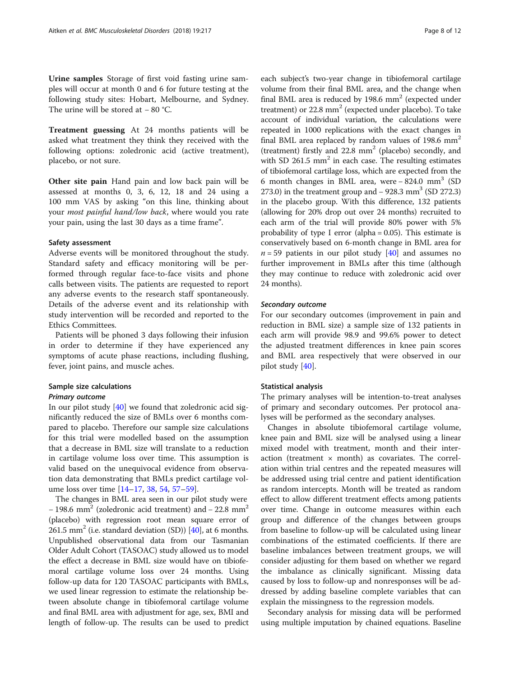Urine samples Storage of first void fasting urine samples will occur at month 0 and 6 for future testing at the following study sites: Hobart, Melbourne, and Sydney. The urine will be stored at − 80 °C.

Treatment guessing At 24 months patients will be asked what treatment they think they received with the following options: zoledronic acid (active treatment), placebo, or not sure.

Other site pain Hand pain and low back pain will be assessed at months 0, 3, 6, 12, 18 and 24 using a 100 mm VAS by asking "on this line, thinking about your most painful hand/low back, where would you rate your pain, using the last 30 days as a time frame".

#### Safety assessment

Adverse events will be monitored throughout the study. Standard safety and efficacy monitoring will be performed through regular face-to-face visits and phone calls between visits. The patients are requested to report any adverse events to the research staff spontaneously. Details of the adverse event and its relationship with study intervention will be recorded and reported to the Ethics Committees.

Patients will be phoned 3 days following their infusion in order to determine if they have experienced any symptoms of acute phase reactions, including flushing, fever, joint pains, and muscle aches.

## Sample size calculations

#### Primary outcome

In our pilot study [[40\]](#page-10-0) we found that zoledronic acid significantly reduced the size of BMLs over 6 months compared to placebo. Therefore our sample size calculations for this trial were modelled based on the assumption that a decrease in BML size will translate to a reduction in cartilage volume loss over time. This assumption is valid based on the unequivocal evidence from observation data demonstrating that BMLs predict cartilage volume loss over time [[14](#page-10-0)–[17](#page-10-0), [38](#page-10-0), [54](#page-11-0), [57](#page-11-0)–[59\]](#page-11-0).

The changes in BML area seen in our pilot study were − 198.6 mm2 (zoledronic acid treatment) and − 22.8 mm2 (placebo) with regression root mean square error of 261.5 mm<sup>2</sup> (i.e. standard deviation (SD)) [ $40$ ], at 6 months. Unpublished observational data from our Tasmanian Older Adult Cohort (TASOAC) study allowed us to model the effect a decrease in BML size would have on tibiofemoral cartilage volume loss over 24 months. Using follow-up data for 120 TASOAC participants with BMLs, we used linear regression to estimate the relationship between absolute change in tibiofemoral cartilage volume and final BML area with adjustment for age, sex, BMI and length of follow-up. The results can be used to predict

each subject's two-year change in tibiofemoral cartilage volume from their final BML area, and the change when final BML area is reduced by 198.6  $mm<sup>2</sup>$  (expected under treatment) or  $22.8 \text{ mm}^2$  (expected under placebo). To take account of individual variation, the calculations were repeated in 1000 replications with the exact changes in final BML area replaced by random values of 198.6  $mm<sup>2</sup>$ (treatment) firstly and  $22.8 \text{ mm}^2$  (placebo) secondly, and with SD  $261.5$  mm<sup>2</sup> in each case. The resulting estimates of tibiofemoral cartilage loss, which are expected from the 6 month changes in BML area, were − 824.0 mm3 (SD 273.0) in the treatment group and  $-$  928.3 mm<sup>3</sup> (SD 272.3) in the placebo group. With this difference, 132 patients (allowing for 20% drop out over 24 months) recruited to each arm of the trial will provide 80% power with 5% probability of type I error (alpha = 0.05). This estimate is conservatively based on 6-month change in BML area for  $n = 59$  patients in our pilot study [\[40](#page-10-0)] and assumes no further improvement in BMLs after this time (although they may continue to reduce with zoledronic acid over 24 months).

#### Secondary outcome

For our secondary outcomes (improvement in pain and reduction in BML size) a sample size of 132 patients in each arm will provide 98.9 and 99.6% power to detect the adjusted treatment differences in knee pain scores and BML area respectively that were observed in our pilot study [\[40](#page-10-0)].

#### Statistical analysis

The primary analyses will be intention-to-treat analyses of primary and secondary outcomes. Per protocol analyses will be performed as the secondary analyses.

Changes in absolute tibiofemoral cartilage volume, knee pain and BML size will be analysed using a linear mixed model with treatment, month and their interaction (treatment  $\times$  month) as covariates. The correlation within trial centres and the repeated measures will be addressed using trial centre and patient identification as random intercepts. Month will be treated as random effect to allow different treatment effects among patients over time. Change in outcome measures within each group and difference of the changes between groups from baseline to follow-up will be calculated using linear combinations of the estimated coefficients. If there are baseline imbalances between treatment groups, we will consider adjusting for them based on whether we regard the imbalance as clinically significant. Missing data caused by loss to follow-up and nonresponses will be addressed by adding baseline complete variables that can explain the missingness to the regression models.

Secondary analysis for missing data will be performed using multiple imputation by chained equations. Baseline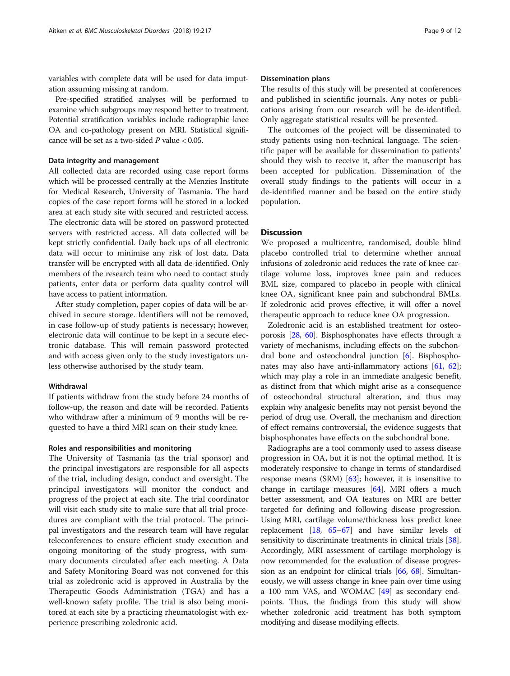variables with complete data will be used for data imputation assuming missing at random.

Pre-specified stratified analyses will be performed to examine which subgroups may respond better to treatment. Potential stratification variables include radiographic knee OA and co-pathology present on MRI. Statistical significance will be set as a two-sided  $P$  value  $< 0.05$ .

#### Data integrity and management

All collected data are recorded using case report forms which will be processed centrally at the Menzies Institute for Medical Research, University of Tasmania. The hard copies of the case report forms will be stored in a locked area at each study site with secured and restricted access. The electronic data will be stored on password protected servers with restricted access. All data collected will be kept strictly confidential. Daily back ups of all electronic data will occur to minimise any risk of lost data. Data transfer will be encrypted with all data de-identified. Only members of the research team who need to contact study patients, enter data or perform data quality control will have access to patient information.

After study completion, paper copies of data will be archived in secure storage. Identifiers will not be removed, in case follow-up of study patients is necessary; however, electronic data will continue to be kept in a secure electronic database. This will remain password protected and with access given only to the study investigators unless otherwise authorised by the study team.

## Withdrawal

If patients withdraw from the study before 24 months of follow-up, the reason and date will be recorded. Patients who withdraw after a minimum of 9 months will be requested to have a third MRI scan on their study knee.

#### Roles and responsibilities and monitoring

The University of Tasmania (as the trial sponsor) and the principal investigators are responsible for all aspects of the trial, including design, conduct and oversight. The principal investigators will monitor the conduct and progress of the project at each site. The trial coordinator will visit each study site to make sure that all trial procedures are compliant with the trial protocol. The principal investigators and the research team will have regular teleconferences to ensure efficient study execution and ongoing monitoring of the study progress, with summary documents circulated after each meeting. A Data and Safety Monitoring Board was not convened for this trial as zoledronic acid is approved in Australia by the Therapeutic Goods Administration (TGA) and has a well-known safety profile. The trial is also being monitored at each site by a practicing rheumatologist with experience prescribing zoledronic acid.

#### Dissemination plans

The results of this study will be presented at conferences and published in scientific journals. Any notes or publications arising from our research will be de-identified. Only aggregate statistical results will be presented.

The outcomes of the project will be disseminated to study patients using non-technical language. The scientific paper will be available for dissemination to patients' should they wish to receive it, after the manuscript has been accepted for publication. Dissemination of the overall study findings to the patients will occur in a de-identified manner and be based on the entire study population.

## **Discussion**

We proposed a multicentre, randomised, double blind placebo controlled trial to determine whether annual infusions of zoledronic acid reduces the rate of knee cartilage volume loss, improves knee pain and reduces BML size, compared to placebo in people with clinical knee OA, significant knee pain and subchondral BMLs. If zoledronic acid proves effective, it will offer a novel therapeutic approach to reduce knee OA progression.

Zoledronic acid is an established treatment for osteoporosis [\[28](#page-10-0), [60\]](#page-11-0). Bisphosphonates have effects through a variety of mechanisms, including effects on the subchondral bone and osteochondral junction [\[6](#page-9-0)]. Bisphospho-nates may also have anti-inflammatory actions [\[61](#page-11-0), [62](#page-11-0)]; which may play a role in an immediate analgesic benefit, as distinct from that which might arise as a consequence of osteochondral structural alteration, and thus may explain why analgesic benefits may not persist beyond the period of drug use. Overall, the mechanism and direction of effect remains controversial, the evidence suggests that bisphosphonates have effects on the subchondral bone.

Radiographs are a tool commonly used to assess disease progression in OA, but it is not the optimal method. It is moderately responsive to change in terms of standardised response means (SRM)  $[63]$ ; however, it is insensitive to change in cartilage measures [\[64\]](#page-11-0). MRI offers a much better assessment, and OA features on MRI are better targeted for defining and following disease progression. Using MRI, cartilage volume/thickness loss predict knee replacement [\[18](#page-10-0), [65](#page-11-0)–[67\]](#page-11-0) and have similar levels of sensitivity to discriminate treatments in clinical trials [[38](#page-10-0)]. Accordingly, MRI assessment of cartilage morphology is now recommended for the evaluation of disease progression as an endpoint for clinical trials [[66](#page-11-0), [68\]](#page-11-0). Simultaneously, we will assess change in knee pain over time using a 100 mm VAS, and WOMAC [\[49\]](#page-10-0) as secondary endpoints. Thus, the findings from this study will show whether zoledronic acid treatment has both symptom modifying and disease modifying effects.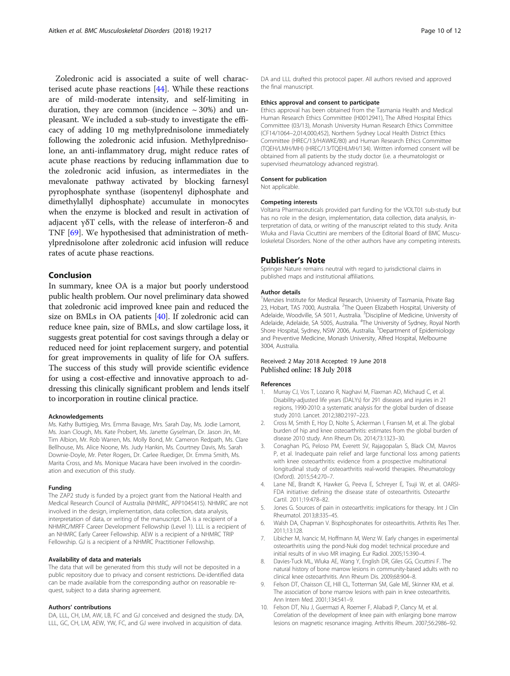<span id="page-9-0"></span>Zoledronic acid is associated a suite of well characterised acute phase reactions [\[44](#page-10-0)]. While these reactions are of mild-moderate intensity, and self-limiting in duration, they are common (incidence  $\sim$  30%) and unpleasant. We included a sub-study to investigate the efficacy of adding 10 mg methylprednisolone immediately following the zoledronic acid infusion. Methylprednisolone, an anti-inflammatory drug, might reduce rates of acute phase reactions by reducing inflammation due to the zoledronic acid infusion, as intermediates in the mevalonate pathway activated by blocking farnesyl pyrophosphate synthase (isopentenyl diphosphate and dimethylallyl diphosphate) accumulate in monocytes when the enzyme is blocked and result in activation of adjacent γδT cells, with the release of interferon-δ and TNF [\[69\]](#page-11-0). We hypothesised that administration of methylprednisolone after zoledronic acid infusion will reduce rates of acute phase reactions.

## Conclusion

In summary, knee OA is a major but poorly understood public health problem. Our novel preliminary data showed that zoledronic acid improved knee pain and reduced the size on BMLs in OA patients [[40](#page-10-0)]. If zoledronic acid can reduce knee pain, size of BMLs, and slow cartilage loss, it suggests great potential for cost savings through a delay or reduced need for joint replacement surgery, and potential for great improvements in quality of life for OA suffers. The success of this study will provide scientific evidence for using a cost-effective and innovative approach to addressing this clinically significant problem and lends itself to incorporation in routine clinical practice.

#### Acknowledgements

Ms. Kathy Buttigieg, Mrs. Emma Bavage, Mrs. Sarah Day, Ms. Jodie Lamont, Ms. Joan Clough, Ms. Kate Probert, Ms. Janette Gyselman, Dr. Jason Jin, Mr. Tim Albion, Mr. Rob Warren, Ms. Molly Bond, Mr. Cameron Redpath, Ms. Clare Bellhouse, Ms. Alice Noone, Ms. Judy Hankin, Ms. Courtney Davis, Ms. Sarah Downie-Doyle, Mr. Peter Rogers, Dr. Carlee Ruediger, Dr. Emma Smith, Ms. Marita Cross, and Ms. Monique Macara have been involved in the coordination and execution of this study.

#### Funding

The ZAP2 study is funded by a project grant from the National Health and Medical Research Council of Australia (NHMRC, APP1045415). NHMRC are not involved in the design, implementation, data collection, data analysis, interpretation of data, or writing of the manuscript. DA is a recipient of a NHMRC/MRFF Career Development Fellowship (Level 1). LLL is a recipient of an NHMRC Early Career Fellowship. AEW is a recipient of a NHMRC TRIP Fellowship. GJ is a recipient of a NHMRC Practitioner Fellowship.

#### Availability of data and materials

The data that will be generated from this study will not be deposited in a public repository due to privacy and consent restrictions. De-identified data can be made available from the corresponding author on reasonable request, subject to a data sharing agreement.

#### Authors' contributions

DA, LLL, CH, LM, AW, LB, FC and GJ conceived and designed the study. DA, LLL, GC, CH, LM, AEW, YW, FC, and GJ were involved in acquisition of data.

DA and LLL drafted this protocol paper. All authors revised and approved the final manuscript.

#### Ethics approval and consent to participate

Ethics approval has been obtained from the Tasmania Health and Medical Human Research Ethics Committee (H0012941), The Alfred Hospital Ethics Committee (03/13), Monash University Human Research Ethics Committee (CF14/1064–2,014,000,452), Northern Sydney Local Health District Ethics Committee (HREC/13/HAWKE/80) and Human Research Ethics Committee (TQEH/LMH/MH) (HREC/13/TQEHLMH/134). Written informed consent will be obtained from all patients by the study doctor (i.e. a rheumatologist or supervised rheumatology advanced registrar).

#### Consent for publication

Not applicable.

#### Competing interests

Voltarra Pharmaceuticals provided part funding for the VOLT01 sub-study but has no role in the design, implementation, data collection, data analysis, interpretation of data, or writing of the manuscript related to this study. Anita Wluka and Flavia Cicuttini are members of the Editorial Board of BMC Musculoskeletal Disorders. None of the other authors have any competing interests.

#### Publisher's Note

Springer Nature remains neutral with regard to jurisdictional claims in published maps and institutional affiliations.

#### Author details

<sup>1</sup>Menzies Institute for Medical Research, University of Tasmania, Private Bag 23, Hobart, TAS 7000, Australia. <sup>2</sup>The Queen Elizabeth Hospital, University of Adelaide, Woodville, SA 5011, Australia. <sup>3</sup>Discipline of Medicine, University of Adelaide, Adelaide, SA 5005, Australia. <sup>4</sup>The University of Sydney, Royal North Shore Hospital, Sydney, NSW 2006, Australia. <sup>5</sup>Department of Epidemiology and Preventive Medicine, Monash University, Alfred Hospital, Melbourne 3004, Australia.

#### Received: 2 May 2018 Accepted: 19 June 2018 Published online: 18 July 2018

#### References

- 1. Murray CJ, Vos T, Lozano R, Naghavi M, Flaxman AD, Michaud C, et al. Disability-adjusted life years (DALYs) for 291 diseases and injuries in 21 regions, 1990-2010: a systematic analysis for the global burden of disease study 2010. Lancet. 2012;380:2197–223.
- 2. Cross M, Smith E, Hoy D, Nolte S, Ackerman I, Fransen M, et al. The global burden of hip and knee osteoarthritis: estimates from the global burden of disease 2010 study. Ann Rheum Dis. 2014;73:1323–30.
- 3. Conaghan PG, Peloso PM, Everett SV, Rajagopalan S, Black CM, Mavros P, et al. Inadequate pain relief and large functional loss among patients with knee osteoarthritis: evidence from a prospective multinational longitudinal study of osteoarthritis real-world therapies. Rheumatology (Oxford). 2015;54:270–7.
- Lane NE, Brandt K, Hawker G, Peeva E, Schreyer E, Tsuji W, et al. OARSI-FDA initiative: defining the disease state of osteoarthritis. Osteoarthr Cartil. 2011;19:478–82.
- 5. Jones G. Sources of pain in osteoarthritis: implications for therapy. Int J Clin Rheumatol. 2013;8:335–45.
- 6. Walsh DA, Chapman V. Bisphosphonates for osteoarthritis. Arthritis Res Ther. 2011;13:128.
- 7. Libicher M, Ivancic M, Hoffmann M, Wenz W. Early changes in experimental osteoarthritis using the pond-Nuki dog model: technical procedure and initial results of in vivo MR imaging. Eur Radiol. 2005;15:390–4.
- 8. Davies-Tuck ML, Wluka AE, Wang Y, English DR, Giles GG, Cicuttini F. The natural history of bone marrow lesions in community-based adults with no clinical knee osteoarthritis. Ann Rheum Dis. 2009;68:904–8.
- 9. Felson DT, Chaisson CE, Hill CL, Totterman SM, Gale ME, Skinner KM, et al. The association of bone marrow lesions with pain in knee osteoarthritis. Ann Intern Med. 2001;134:541–9.
- 10. Felson DT, Niu J, Guermazi A, Roemer F, Aliabadi P, Clancy M, et al. Correlation of the development of knee pain with enlarging bone marrow lesions on magnetic resonance imaging. Arthritis Rheum. 2007;56:2986–92.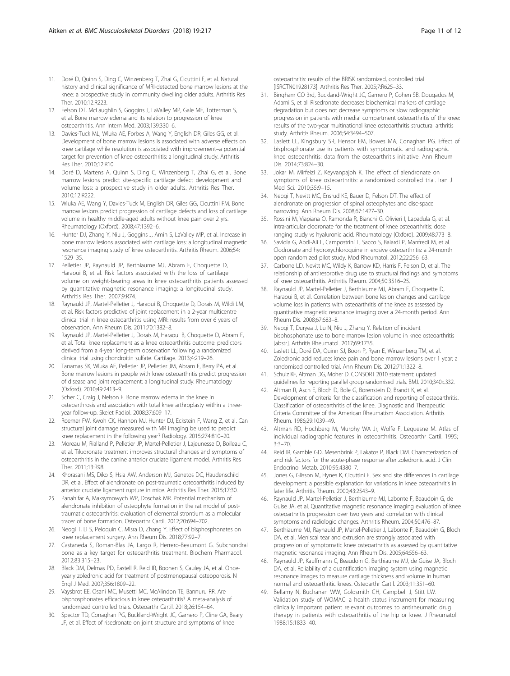- <span id="page-10-0"></span>11. Doré D, Quinn S, Ding C, Winzenberg T, Zhai G, Cicuttini F, et al. Natural history and clinical significance of MRI-detected bone marrow lesions at the knee: a prospective study in community dwelling older adults. Arthritis Res Ther. 2010;12:R223.
- 12. Felson DT, McLaughlin S, Goggins J, LaValley MP, Gale ME, Totterman S, et al. Bone marrow edema and its relation to progression of knee osteoarthritis. Ann Intern Med. 2003;139:330–6.
- 13. Davies-Tuck ML, Wluka AE, Forbes A, Wang Y, English DR, Giles GG, et al. Development of bone marrow lesions is associated with adverse effects on knee cartilage while resolution is associated with improvement–a potential target for prevention of knee osteoarthritis: a longitudinal study. Arthritis Res Ther. 2010;12:R10.
- 14. Doré D, Martens A, Quinn S, Ding C, Winzenberg T, Zhai G, et al. Bone marrow lesions predict site-specific cartilage defect development and volume loss: a prospective study in older adults. Arthritis Res Ther. 2010;12:R222.
- 15. Wluka AE, Wang Y, Davies-Tuck M, English DR, Giles GG, Cicuttini FM. Bone marrow lesions predict progression of cartilage defects and loss of cartilage volume in healthy middle-aged adults without knee pain over 2 yrs. Rheumatology (Oxford). 2008;47:1392–6.
- 16. Hunter DJ, Zhang Y, Niu J, Goggins J, Amin S, LaValley MP, et al. Increase in bone marrow lesions associated with cartilage loss: a longitudinal magnetic resonance imaging study of knee osteoarthritis. Arthritis Rheum. 2006;54: 1529–35.
- 17. Pelletier JP, Raynauld JP, Berthiaume MJ, Abram F, Choquette D, Haraoui B, et al. Risk factors associated with the loss of cartilage volume on weight-bearing areas in knee osteoarthritis patients assessed by quantitative magnetic resonance imaging: a longitudinal study. Arthritis Res Ther. 2007;9:R74.
- 18. Raynauld JP, Martel-Pelletier J, Haraoui B, Choquette D, Dorais M, Wildi LM, et al. Risk factors predictive of joint replacement in a 2-year multicentre clinical trial in knee osteoarthritis using MRI: results from over 6 years of observation. Ann Rheum Dis. 2011;70:1382–8.
- 19. Raynauld JP, Martel-Pelletier J, Dorais M, Haraoui B, Choquette D, Abram F, et al. Total knee replacement as a knee osteoarthritis outcome: predictors derived from a 4-year long-term observation following a randomized clinical trial using chondroitin sulfate. Cartilage. 2013;4:219–26.
- 20. Tanamas SK, Wluka AE, Pelletier JP, Pelletier JM, Abram F, Berry PA, et al. Bone marrow lesions in people with knee osteoarthritis predict progression of disease and joint replacement: a longitudinal study. Rheumatology (Oxford). 2010;49:2413–9.
- 21. Scher C, Craig J, Nelson F. Bone marrow edema in the knee in osteoarthrosis and association with total knee arthroplasty within a threeyear follow-up. Skelet Radiol. 2008;37:609–17.
- 22. Roemer FW, Kwoh CK, Hannon MJ, Hunter DJ, Eckstein F, Wang Z, et al. Can structural joint damage measured with MR imaging be used to predict knee replacement in the following year? Radiology. 2015;274:810–20.
- 23. Moreau M, Rialland P, Pelletier JP, Martel-Pelletier J, Lajeunesse D, Boileau C, et al. Tiludronate treatment improves structural changes and symptoms of osteoarthritis in the canine anterior cruciate ligament model. Arthritis Res Ther. 2011;13:R98.
- 24. Khorasani MS, Diko S, Hsia AW, Anderson MJ, Genetos DC, Haudenschild DR, et al. Effect of alendronate on post-traumatic osteoarthritis induced by anterior cruciate ligament rupture in mice. Arthritis Res Ther. 2015;17:30.
- 25. Panahifar A, Maksymowych WP, Doschak MR. Potential mechanism of alendronate inhibition of osteophyte formation in the rat model of posttraumatic osteoarthritis: evaluation of elemental strontium as a molecular tracer of bone formation. Osteoarthr Cartil. 2012;20:694–702.
- 26. Neogi T, Li S, Peloquin C, Misra D, Zhang Y. Effect of bisphosphonates on knee replacement surgery. Ann Rheum Dis. 2018;77:92–7.
- 27. Castaneda S, Roman-Blas JA, Largo R, Herrero-Beaumont G. Subchondral bone as a key target for osteoarthritis treatment. Biochem Pharmacol. 2012;83:315–23.
- 28. Black DM, Delmas PD, Eastell R, Reid IR, Boonen S, Cauley JA, et al. Onceyearly zoledronic acid for treatment of postmenopausal osteoporosis. N Engl J Med. 2007;356:1809–22.
- 29. Vaysbrot EE, Osani MC, Musetti MC, McAlindon TE, Bannuru RR. Are bisphosphonates efficacious in knee osteoarthritis? A meta-analysis of randomized controlled trials. Osteoarthr Cartil. 2018;26:154–64.
- 30. Spector TD, Conaghan PG, Buckland-Wright JC, Garnero P, Cline GA, Beary JF, et al. Effect of risedronate on joint structure and symptoms of knee

osteoarthritis: results of the BRISK randomized, controlled trial [ISRCTN01928173]. Arthritis Res Ther. 2005;7:R625–33.

- 31. Bingham CO 3rd, Buckland-Wright JC, Garnero P, Cohen SB, Dougados M, Adami S, et al. Risedronate decreases biochemical markers of cartilage degradation but does not decrease symptoms or slow radiographic progression in patients with medial compartment osteoarthritis of the knee: results of the two-year multinational knee osteoarthritis structural arthritis study. Arthritis Rheum. 2006;54:3494–507.
- 32. Laslett LL, Kingsbury SR, Hensor EM, Bowes MA, Conaghan PG. Effect of bisphosphonate use in patients with symptomatic and radiographic knee osteoarthritis: data from the osteoarthritis initiative. Ann Rheum Dis. 2014;73:824–30.
- 33. Jokar M, Mirfeizi Z, Keyvanpajoh K. The effect of alendronate on symptoms of knee osteoarthritis: a randomized controlled trial. Iran J Med Sci. 2010;35:9–15.
- 34. Neogi T, Nevitt MC, Ensrud KE, Bauer D, Felson DT. The effect of alendronate on progression of spinal osteophytes and disc-space narrowing. Ann Rheum Dis. 2008;67:1427–30.
- 35. Rossini M, Viapiana O, Ramonda R, Bianchi G, Olivieri I, Lapadula G, et al. Intra-articular clodronate for the treatment of knee osteoarthritis: dose ranging study vs hyaluronic acid. Rheumatology (Oxford). 2009;48:773–8.
- 36. Saviola G, Abdi-Ali L, Campostrini L, Sacco S, Baiardi P, Manfredi M, et al. Clodronate and hydroxychloroquine in erosive osteoarthritis: a 24-month open randomized pilot study. Mod Rheumatol. 2012;22:256–63.
- 37. Carbone LD, Nevitt MC, Wildy K, Barrow KD, Harris F, Felson D, et al. The relationship of antiresorptive drug use to structural findings and symptoms of knee osteoarthritis. Arthritis Rheum. 2004;50:3516–25.
- 38. Raynauld JP, Martel-Pelletier J, Berthiaume MJ, Abram F, Choquette D, Haraoui B, et al. Correlation between bone lesion changes and cartilage volume loss in patients with osteoarthritis of the knee as assessed by quantitative magnetic resonance imaging over a 24-month period. Ann Rheum Dis. 2008;67:683–8.
- 39. Neogi T, Duryea J, Lu N, Niu J, Zhang Y. Relation of incident bisphosphonate use to bone marrow lesion volume in knee osteoarthritis [abstr]. Arthritis Rheumatol. 2017;69:1735.
- 40. Laslett LL, Doré DA, Quinn SJ, Boon P, Ryan E, Winzenberg TM, et al. Zoledronic acid reduces knee pain and bone marrow lesions over 1 year: a randomised controlled trial. Ann Rheum Dis. 2012;71:1322–8.
- 41. Schulz KF, Altman DG, Moher D. CONSORT 2010 statement: updated guidelines for reporting parallel group randomised trials. BMJ. 2010;340:c332.
- 42. Altman R, Asch E, Bloch D, Bole G, Borenstein D, Brandt K, et al. Development of criteria for the classification and reporting of osteoarthritis. Classification of osteoarthritis of the knee. Diagnostic and Therapeutic Criteria Committee of the American Rheumatism Association. Arthritis Rheum. 1986;29:1039–49.
- 43. Altman RD, Hochberg M, Murphy WA Jr, Wolfe F, Lequesne M. Atlas of individual radiographic features in osteoarthritis. Osteoarthr Cartil. 1995; 3:3–70.
- 44. Reid IR, Gamble GD, Mesenbrink P, Lakatos P, Black DM. Characterization of and risk factors for the acute-phase response after zoledronic acid. J Clin Endocrinol Metab. 2010;95:4380–7.
- 45. Jones G, Glisson M, Hynes K, Cicuttini F. Sex and site differences in cartilage development: a possible explanation for variations in knee osteoarthritis in later life. Arthritis Rheum. 2000;43:2543–9.
- 46. Raynauld JP, Martel-Pelletier J, Berthiaume MJ, Labonte F, Beaudoin G, de Guise JA, et al. Quantitative magnetic resonance imaging evaluation of knee osteoarthritis progression over two years and correlation with clinical symptoms and radiologic changes. Arthritis Rheum. 2004;50:476–87.
- 47. Berthiaume MJ, Raynauld JP, Martel-Pelletier J, Labonte F, Beaudoin G, Bloch DA, et al. Meniscal tear and extrusion are strongly associated with progression of symptomatic knee osteoarthritis as assessed by quantitative magnetic resonance imaging. Ann Rheum Dis. 2005;64:556–63.
- 48. Raynauld JP, Kauffmann C, Beaudoin G, Berthiaume MJ, de Guise JA, Bloch DA, et al. Reliability of a quantification imaging system using magnetic resonance images to measure cartilage thickness and volume in human normal and osteoarthritic knees. Osteoarthr Cartil. 2003;11:351–60.
- 49. Bellamy N, Buchanan WW, Goldsmith CH, Campbell J, Stitt LW. Validation study of WOMAC: a health status instrument for measuring clinically important patient relevant outcomes to antirheumatic drug therapy in patients with osteoarthritis of the hip or knee. J Rheumatol. 1988;15:1833–40.